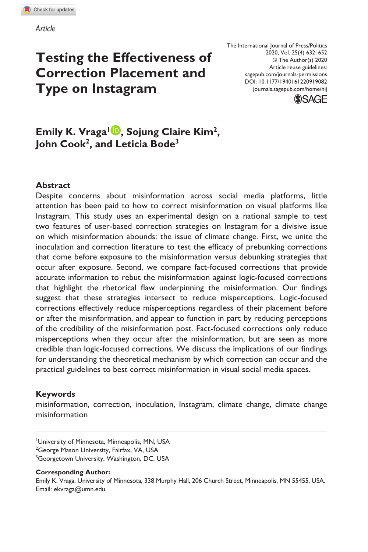# **Testing the Effectiveness of Correction Placement and Type on Instagram**

DOI: 10.1177/1940161220919082 The International Journal of Press/Politics 2020, Vol. 25(4) 632–652 © The Author(s) 2020 Article reuse guidelines: [sagepub.com/journals-permissions](https://us.sagepub.com/en-us/journals-permissions) [journals.sagepub.com/home/hij](https://journals.sagepub.com/home/hij)



# **Emily K. Vraga<sup>l</sup> <b>D**, Sojung Claire Kim<sup>2</sup>, John Cook<sup>2</sup>, and Leticia Bode<sup>3</sup>

#### **Abstract**

Despite concerns about misinformation across social media platforms, little attention has been paid to how to correct misinformation on visual platforms like Instagram. This study uses an experimental design on a national sample to test two features of user-based correction strategies on Instagram for a divisive issue on which misinformation abounds: the issue of climate change. First, we unite the inoculation and correction literature to test the efficacy of prebunking corrections that come before exposure to the misinformation versus debunking strategies that occur after exposure. Second, we compare fact-focused corrections that provide accurate information to rebut the misinformation against logic-focused corrections that highlight the rhetorical flaw underpinning the misinformation. Our findings suggest that these strategies intersect to reduce misperceptions. Logic-focused corrections effectively reduce misperceptions regardless of their placement before or after the misinformation, and appear to function in part by reducing perceptions of the credibility of the misinformation post. Fact-focused corrections only reduce misperceptions when they occur after the misinformation, but are seen as more credible than logic-focused corrections. We discuss the implications of our findings for understanding the theoretical mechanism by which correction can occur and the practical guidelines to best correct misinformation in visual social media spaces.

#### **Keywords**

misinformation, correction, inoculation, Instagram, climate change, climate change misinformation

**Corresponding Author:**

<sup>1</sup> University of Minnesota, Minneapolis, MN, USA

<sup>&</sup>lt;sup>2</sup>George Mason University, Fairfax, VA, USA

<sup>&</sup>lt;sup>3</sup>Georgetown University, Washington, DC, USA

Emily K. Vraga, University of Minnesota, 338 Murphy Hall, 206 Church Street, Minneapolis, MN 55455, USA. Email: [ekvraga@umn.edu](mailto:ekvraga@umn.edu)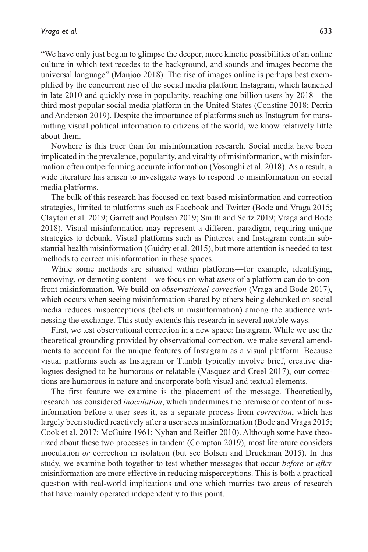"We have only just begun to glimpse the deeper, more kinetic possibilities of an online culture in which text recedes to the background, and sounds and images become the universal language" (Manjoo 2018). The rise of images online is perhaps best exemplified by the concurrent rise of the social media platform Instagram, which launched in late 2010 and quickly rose in popularity, reaching one billion users by 2018—the third most popular social media platform in the United States (Constine 2018; Perrin and Anderson 2019). Despite the importance of platforms such as Instagram for transmitting visual political information to citizens of the world, we know relatively little about them.

Nowhere is this truer than for misinformation research. Social media have been implicated in the prevalence, popularity, and virality of misinformation, with misinformation often outperforming accurate information (Vosoughi et al. 2018). As a result, a wide literature has arisen to investigate ways to respond to misinformation on social media platforms.

The bulk of this research has focused on text-based misinformation and correction strategies, limited to platforms such as Facebook and Twitter (Bode and Vraga 2015; Clayton et al. 2019; Garrett and Poulsen 2019; Smith and Seitz 2019; Vraga and Bode 2018). Visual misinformation may represent a different paradigm, requiring unique strategies to debunk. Visual platforms such as Pinterest and Instagram contain substantial health misinformation (Guidry et al. 2015), but more attention is needed to test methods to correct misinformation in these spaces.

While some methods are situated within platforms—for example, identifying, removing, or demoting content—we focus on what *users* of a platform can do to confront misinformation. We build on *observational correction* (Vraga and Bode 2017), which occurs when seeing misinformation shared by others being debunked on social media reduces misperceptions (beliefs in misinformation) among the audience witnessing the exchange. This study extends this research in several notable ways.

First, we test observational correction in a new space: Instagram. While we use the theoretical grounding provided by observational correction, we make several amendments to account for the unique features of Instagram as a visual platform. Because visual platforms such as Instagram or Tumblr typically involve brief, creative dialogues designed to be humorous or relatable (Vásquez and Creel 2017), our corrections are humorous in nature and incorporate both visual and textual elements.

The first feature we examine is the placement of the message. Theoretically, research has considered *inoculation*, which undermines the premise or content of misinformation before a user sees it, as a separate process from *correction*, which has largely been studied reactively after a user sees misinformation (Bode and Vraga 2015; Cook et al. 2017; McGuire 1961; Nyhan and Reifler 2010). Although some have theorized about these two processes in tandem (Compton 2019), most literature considers inoculation *or* correction in isolation (but see Bolsen and Druckman 2015). In this study, we examine both together to test whether messages that occur *before* or *after* misinformation are more effective in reducing misperceptions. This is both a practical question with real-world implications and one which marries two areas of research that have mainly operated independently to this point.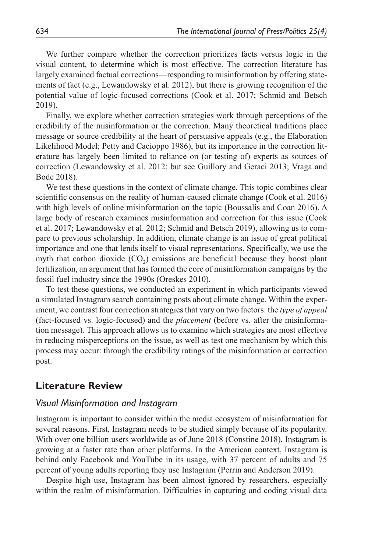We further compare whether the correction prioritizes facts versus logic in the visual content, to determine which is most effective. The correction literature has largely examined factual corrections—responding to misinformation by offering statements of fact (e.g., Lewandowsky et al. 2012), but there is growing recognition of the potential value of logic-focused corrections (Cook et al. 2017; Schmid and Betsch 2019).

Finally, we explore whether correction strategies work through perceptions of the credibility of the misinformation or the correction. Many theoretical traditions place message or source credibility at the heart of persuasive appeals (e.g., the Elaboration Likelihood Model; Petty and Cacioppo 1986), but its importance in the correction literature has largely been limited to reliance on (or testing of) experts as sources of correction (Lewandowsky et al. 2012; but see Guillory and Geraci 2013; Vraga and Bode 2018).

We test these questions in the context of climate change. This topic combines clear scientific consensus on the reality of human-caused climate change (Cook et al. 2016) with high levels of online misinformation on the topic (Boussalis and Coan 2016). A large body of research examines misinformation and correction for this issue (Cook et al. 2017; Lewandowsky et al. 2012; Schmid and Betsch 2019), allowing us to compare to previous scholarship. In addition, climate change is an issue of great political importance and one that lends itself to visual representations. Specifically, we use the myth that carbon dioxide  $(CO<sub>2</sub>)$  emissions are beneficial because they boost plant fertilization, an argument that has formed the core of misinformation campaigns by the fossil fuel industry since the 1990s (Oreskes 2010).

To test these questions, we conducted an experiment in which participants viewed a simulated Instagram search containing posts about climate change. Within the experiment, we contrast four correction strategies that vary on two factors: the *type of appeal* (fact-focused vs. logic-focused) and the *placement* (before vs. after the misinformation message). This approach allows us to examine which strategies are most effective in reducing misperceptions on the issue, as well as test one mechanism by which this process may occur: through the credibility ratings of the misinformation or correction post.

# **Literature Review**

#### *Visual Misinformation and Instagram*

Instagram is important to consider within the media ecosystem of misinformation for several reasons. First, Instagram needs to be studied simply because of its popularity. With over one billion users worldwide as of June 2018 (Constine 2018), Instagram is growing at a faster rate than other platforms. In the American context, Instagram is behind only Facebook and YouTube in its usage, with 37 percent of adults and 75 percent of young adults reporting they use Instagram (Perrin and Anderson 2019).

Despite high use, Instagram has been almost ignored by researchers, especially within the realm of misinformation. Difficulties in capturing and coding visual data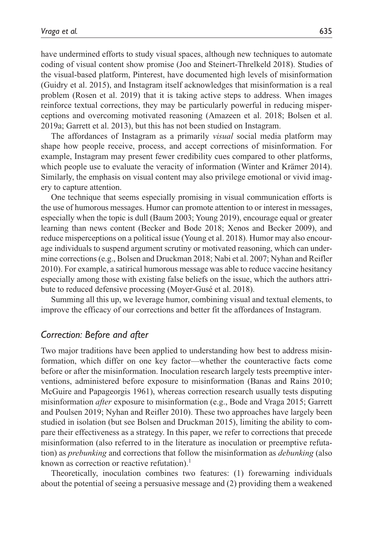have undermined efforts to study visual spaces, although new techniques to automate coding of visual content show promise (Joo and Steinert-Threlkeld 2018). Studies of the visual-based platform, Pinterest, have documented high levels of misinformation (Guidry et al. 2015), and Instagram itself acknowledges that misinformation is a real problem (Rosen et al. 2019) that it is taking active steps to address. When images reinforce textual corrections, they may be particularly powerful in reducing misperceptions and overcoming motivated reasoning (Amazeen et al. 2018; Bolsen et al. 2019a; Garrett et al. 2013), but this has not been studied on Instagram.

The affordances of Instagram as a primarily *visual* social media platform may shape how people receive, process, and accept corrections of misinformation. For example, Instagram may present fewer credibility cues compared to other platforms, which people use to evaluate the veracity of information (Winter and Krämer 2014). Similarly, the emphasis on visual content may also privilege emotional or vivid imagery to capture attention.

One technique that seems especially promising in visual communication efforts is the use of humorous messages. Humor can promote attention to or interest in messages, especially when the topic is dull (Baum 2003; Young 2019), encourage equal or greater learning than news content (Becker and Bode 2018; Xenos and Becker 2009), and reduce misperceptions on a political issue (Young et al. 2018). Humor may also encourage individuals to suspend argument scrutiny or motivated reasoning, which can undermine corrections (e.g., Bolsen and Druckman 2018; Nabi et al. 2007; Nyhan and Reifler 2010). For example, a satirical humorous message was able to reduce vaccine hesitancy especially among those with existing false beliefs on the issue, which the authors attribute to reduced defensive processing (Moyer-Gusé et al. 2018).

Summing all this up, we leverage humor, combining visual and textual elements, to improve the efficacy of our corrections and better fit the affordances of Instagram.

#### *Correction: Before and after*

Two major traditions have been applied to understanding how best to address misinformation, which differ on one key factor—whether the counteractive facts come before or after the misinformation. Inoculation research largely tests preemptive interventions, administered before exposure to misinformation (Banas and Rains 2010; McGuire and Papageorgis 1961), whereas correction research usually tests disputing misinformation *after* exposure to misinformation (e.g., Bode and Vraga 2015; Garrett and Poulsen 2019; Nyhan and Reifler 2010). These two approaches have largely been studied in isolation (but see Bolsen and Druckman 2015), limiting the ability to compare their effectiveness as a strategy. In this paper, we refer to corrections that precede misinformation (also referred to in the literature as inoculation or preemptive refutation) as *prebunking* and corrections that follow the misinformation as *debunking* (also known as correction or reactive refutation).<sup>1</sup>

Theoretically, inoculation combines two features: (1) forewarning individuals about the potential of seeing a persuasive message and (2) providing them a weakened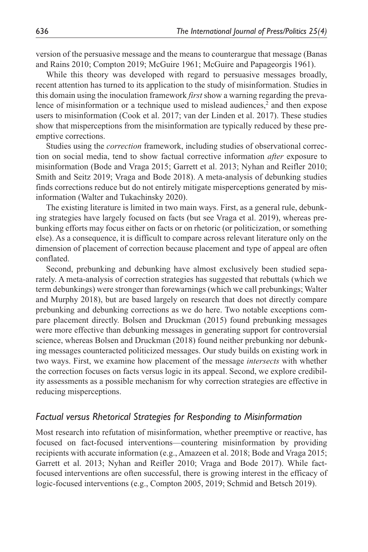version of the persuasive message and the means to counterargue that message (Banas and Rains 2010; Compton 2019; McGuire 1961; McGuire and Papageorgis 1961).

While this theory was developed with regard to persuasive messages broadly, recent attention has turned to its application to the study of misinformation. Studies in this domain using the inoculation framework *first* show a warning regarding the prevalence of misinformation or a technique used to mislead audiences, $2$  and then expose users to misinformation (Cook et al. 2017; van der Linden et al. 2017). These studies show that misperceptions from the misinformation are typically reduced by these preemptive corrections.

Studies using the *correction* framework, including studies of observational correction on social media, tend to show factual corrective information *after* exposure to misinformation (Bode and Vraga 2015; Garrett et al. 2013; Nyhan and Reifler 2010; Smith and Seitz 2019; Vraga and Bode 2018). A meta-analysis of debunking studies finds corrections reduce but do not entirely mitigate misperceptions generated by misinformation (Walter and Tukachinsky 2020).

The existing literature is limited in two main ways. First, as a general rule, debunking strategies have largely focused on facts (but see Vraga et al. 2019), whereas prebunking efforts may focus either on facts or on rhetoric (or politicization, or something else). As a consequence, it is difficult to compare across relevant literature only on the dimension of placement of correction because placement and type of appeal are often conflated.

Second, prebunking and debunking have almost exclusively been studied separately. A meta-analysis of correction strategies has suggested that rebuttals (which we term debunkings) were stronger than forewarnings (which we call prebunkings; Walter and Murphy 2018), but are based largely on research that does not directly compare prebunking and debunking corrections as we do here. Two notable exceptions compare placement directly. Bolsen and Druckman (2015) found prebunking messages were more effective than debunking messages in generating support for controversial science, whereas Bolsen and Druckman (2018) found neither prebunking nor debunking messages counteracted politicized messages. Our study builds on existing work in two ways. First, we examine how placement of the message *intersects* with whether the correction focuses on facts versus logic in its appeal. Second, we explore credibility assessments as a possible mechanism for why correction strategies are effective in reducing misperceptions.

## *Factual versus Rhetorical Strategies for Responding to Misinformation*

Most research into refutation of misinformation, whether preemptive or reactive, has focused on fact-focused interventions—countering misinformation by providing recipients with accurate information (e.g., Amazeen et al. 2018; Bode and Vraga 2015; Garrett et al. 2013; Nyhan and Reifler 2010; Vraga and Bode 2017). While factfocused interventions are often successful, there is growing interest in the efficacy of logic-focused interventions (e.g., Compton 2005, 2019; Schmid and Betsch 2019).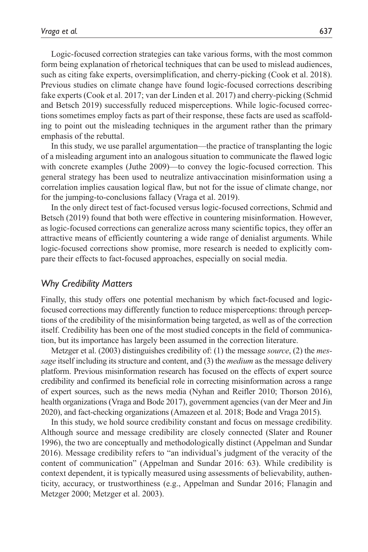Logic-focused correction strategies can take various forms, with the most common form being explanation of rhetorical techniques that can be used to mislead audiences, such as citing fake experts, oversimplification, and cherry-picking (Cook et al. 2018). Previous studies on climate change have found logic-focused corrections describing fake experts (Cook et al. 2017; van der Linden et al. 2017) and cherry-picking (Schmid and Betsch 2019) successfully reduced misperceptions. While logic-focused corrections sometimes employ facts as part of their response, these facts are used as scaffolding to point out the misleading techniques in the argument rather than the primary emphasis of the rebuttal.

In this study, we use parallel argumentation—the practice of transplanting the logic of a misleading argument into an analogous situation to communicate the flawed logic with concrete examples (Juthe 2009)—to convey the logic-focused correction. This general strategy has been used to neutralize antivaccination misinformation using a correlation implies causation logical flaw, but not for the issue of climate change, nor for the jumping-to-conclusions fallacy (Vraga et al. 2019).

In the only direct test of fact-focused versus logic-focused corrections, Schmid and Betsch (2019) found that both were effective in countering misinformation. However, as logic-focused corrections can generalize across many scientific topics, they offer an attractive means of efficiently countering a wide range of denialist arguments. While logic-focused corrections show promise, more research is needed to explicitly compare their effects to fact-focused approaches, especially on social media.

#### *Why Credibility Matters*

Finally, this study offers one potential mechanism by which fact-focused and logicfocused corrections may differently function to reduce misperceptions: through perceptions of the credibility of the misinformation being targeted, as well as of the correction itself. Credibility has been one of the most studied concepts in the field of communication, but its importance has largely been assumed in the correction literature.

Metzger et al. (2003) distinguishes credibility of: (1) the message *source*, (2) the *message* itself including its structure and content, and (3) the *medium* as the message delivery platform. Previous misinformation research has focused on the effects of expert source credibility and confirmed its beneficial role in correcting misinformation across a range of expert sources, such as the news media (Nyhan and Reifler 2010; Thorson 2016), health organizations (Vraga and Bode 2017), government agencies (van der Meer and Jin 2020), and fact-checking organizations (Amazeen et al. 2018; Bode and Vraga 2015).

In this study, we hold source credibility constant and focus on message credibility. Although source and message credibility are closely connected (Slater and Rouner 1996), the two are conceptually and methodologically distinct (Appelman and Sundar 2016). Message credibility refers to "an individual's judgment of the veracity of the content of communication" (Appelman and Sundar 2016: 63). While credibility is context dependent, it is typically measured using assessments of believability, authenticity, accuracy, or trustworthiness (e.g., Appelman and Sundar 2016; Flanagin and Metzger 2000; Metzger et al. 2003).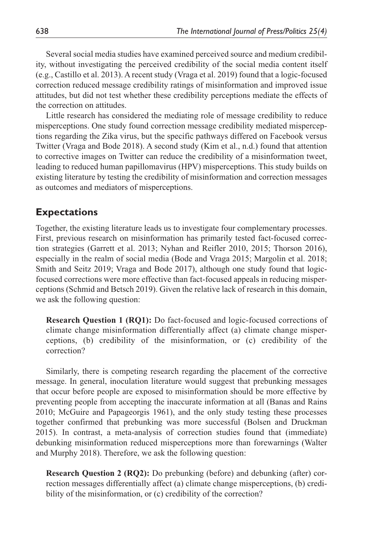Several social media studies have examined perceived source and medium credibility, without investigating the perceived credibility of the social media content itself (e.g., Castillo et al. 2013). A recent study (Vraga et al. 2019) found that a logic-focused correction reduced message credibility ratings of misinformation and improved issue attitudes, but did not test whether these credibility perceptions mediate the effects of the correction on attitudes.

Little research has considered the mediating role of message credibility to reduce misperceptions. One study found correction message credibility mediated misperceptions regarding the Zika virus, but the specific pathways differed on Facebook versus Twitter (Vraga and Bode 2018). A second study (Kim et al., n.d.) found that attention to corrective images on Twitter can reduce the credibility of a misinformation tweet, leading to reduced human papillomavirus (HPV) misperceptions. This study builds on existing literature by testing the credibility of misinformation and correction messages as outcomes and mediators of misperceptions.

## **Expectations**

Together, the existing literature leads us to investigate four complementary processes. First, previous research on misinformation has primarily tested fact-focused correction strategies (Garrett et al. 2013; Nyhan and Reifler 2010, 2015; Thorson 2016), especially in the realm of social media (Bode and Vraga 2015; Margolin et al. 2018; Smith and Seitz 2019; Vraga and Bode 2017), although one study found that logicfocused corrections were more effective than fact-focused appeals in reducing misperceptions (Schmid and Betsch 2019). Given the relative lack of research in this domain, we ask the following question:

**Research Question 1 (RQ1):** Do fact-focused and logic-focused corrections of climate change misinformation differentially affect (a) climate change misperceptions, (b) credibility of the misinformation, or (c) credibility of the correction?

Similarly, there is competing research regarding the placement of the corrective message. In general, inoculation literature would suggest that prebunking messages that occur before people are exposed to misinformation should be more effective by preventing people from accepting the inaccurate information at all (Banas and Rains 2010; McGuire and Papageorgis 1961), and the only study testing these processes together confirmed that prebunking was more successful (Bolsen and Druckman 2015). In contrast, a meta-analysis of correction studies found that (immediate) debunking misinformation reduced misperceptions more than forewarnings (Walter and Murphy 2018). Therefore, we ask the following question:

**Research Question 2 (RQ2):** Do prebunking (before) and debunking (after) correction messages differentially affect (a) climate change misperceptions, (b) credibility of the misinformation, or (c) credibility of the correction?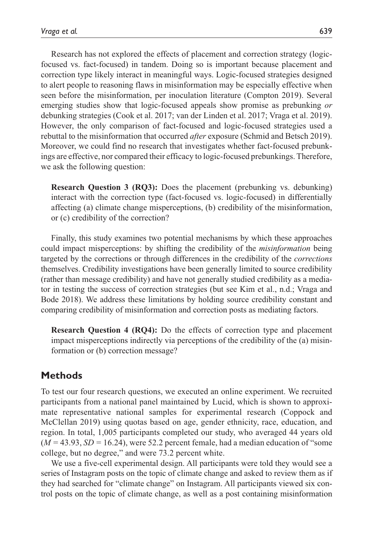Research has not explored the effects of placement and correction strategy (logicfocused vs. fact-focused) in tandem. Doing so is important because placement and correction type likely interact in meaningful ways. Logic-focused strategies designed to alert people to reasoning flaws in misinformation may be especially effective when seen before the misinformation, per inoculation literature (Compton 2019). Several emerging studies show that logic-focused appeals show promise as prebunking *or* debunking strategies (Cook et al. 2017; van der Linden et al. 2017; Vraga et al. 2019). However, the only comparison of fact-focused and logic-focused strategies used a rebuttal to the misinformation that occurred *after* exposure (Schmid and Betsch 2019). Moreover, we could find no research that investigates whether fact-focused prebunkings are effective, nor compared their efficacy to logic-focused prebunkings. Therefore, we ask the following question:

**Research Question 3 (RQ3):** Does the placement (prebunking vs. debunking) interact with the correction type (fact-focused vs. logic-focused) in differentially affecting (a) climate change misperceptions, (b) credibility of the misinformation, or (c) credibility of the correction?

Finally, this study examines two potential mechanisms by which these approaches could impact misperceptions: by shifting the credibility of the *misinformation* being targeted by the corrections or through differences in the credibility of the *corrections* themselves. Credibility investigations have been generally limited to source credibility (rather than message credibility) and have not generally studied credibility as a mediator in testing the success of correction strategies (but see Kim et al., n.d.; Vraga and Bode 2018). We address these limitations by holding source credibility constant and comparing credibility of misinformation and correction posts as mediating factors.

**Research Question 4 (RQ4):** Do the effects of correction type and placement impact misperceptions indirectly via perceptions of the credibility of the (a) misinformation or (b) correction message?

## **Methods**

To test our four research questions, we executed an online experiment. We recruited participants from a national panel maintained by Lucid, which is shown to approximate representative national samples for experimental research (Coppock and McClellan 2019) using quotas based on age, gender ethnicity, race, education, and region. In total, 1,005 participants completed our study, who averaged 44 years old (*M =* 43.93, *SD =* 16.24), were 52.2 percent female, had a median education of "some college, but no degree," and were 73.2 percent white.

We use a five-cell experimental design. All participants were told they would see a series of Instagram posts on the topic of climate change and asked to review them as if they had searched for "climate change" on Instagram. All participants viewed six control posts on the topic of climate change, as well as a post containing misinformation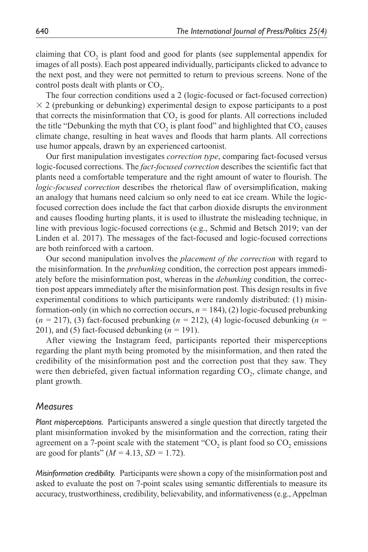claiming that CO<sub>2</sub> is plant food and good for plants (see supplemental appendix for images of all posts). Each post appeared individually, participants clicked to advance to the next post, and they were not permitted to return to previous screens. None of the control posts dealt with plants or  $CO<sub>2</sub>$ .

The four correction conditions used a 2 (logic-focused or fact-focused correction)  $\times$  2 (prebunking or debunking) experimental design to expose participants to a post that corrects the misinformation that  $CO<sub>2</sub>$  is good for plants. All corrections included the title "Debunking the myth that  $CO<sub>2</sub>$  is plant food" and highlighted that  $CO<sub>2</sub>$  causes climate change, resulting in heat waves and floods that harm plants. All corrections use humor appeals, drawn by an experienced cartoonist.

Our first manipulation investigates *correction type*, comparing fact-focused versus logic-focused corrections. The *fact-focused correction* describes the scientific fact that plants need a comfortable temperature and the right amount of water to flourish. The *logic-focused correction* describes the rhetorical flaw of oversimplification, making an analogy that humans need calcium so only need to eat ice cream. While the logicfocused correction does include the fact that carbon dioxide disrupts the environment and causes flooding hurting plants, it is used to illustrate the misleading technique, in line with previous logic-focused corrections (e.g., Schmid and Betsch 2019; van der Linden et al. 2017). The messages of the fact-focused and logic-focused corrections are both reinforced with a cartoon.

Our second manipulation involves the *placement of the correction* with regard to the misinformation. In the *prebunking* condition, the correction post appears immediately before the misinformation post, whereas in the *debunking* condition, the correction post appears immediately after the misinformation post. This design results in five experimental conditions to which participants were randomly distributed: (1) misinformation-only (in which no correction occurs, *n =* 184), (2) logic-focused prebunking (*n =* 217), (3) fact-focused prebunking (*n =* 212), (4) logic-focused debunking (*n =* 201), and (5) fact-focused debunking  $(n = 191)$ .

After viewing the Instagram feed, participants reported their misperceptions regarding the plant myth being promoted by the misinformation, and then rated the credibility of the misinformation post and the correction post that they saw. They were then debriefed, given factual information regarding  $CO<sub>2</sub>$ , climate change, and plant growth.

#### *Measures*

*Plant misperceptions.* Participants answered a single question that directly targeted the plant misinformation invoked by the misinformation and the correction, rating their agreement on a 7-point scale with the statement " $CO<sub>2</sub>$  is plant food so  $CO<sub>2</sub>$  emissions are good for plants" (*M =* 4.13, *SD =* 1.72).

*Misinformation credibility.* Participants were shown a copy of the misinformation post and asked to evaluate the post on 7-point scales using semantic differentials to measure its accuracy, trustworthiness, credibility, believability, and informativeness (e.g., Appelman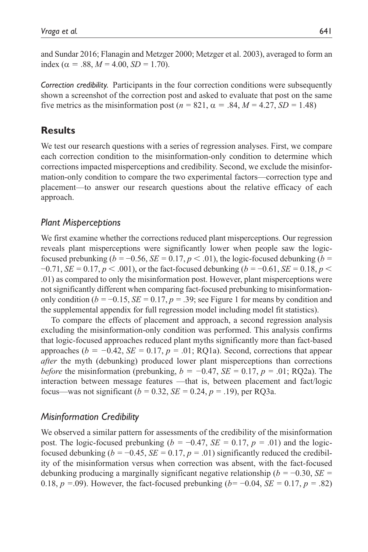and Sundar 2016; Flanagin and Metzger 2000; Metzger et al. 2003), averaged to form an index ( $\alpha = .88$ ,  $M = 4.00$ ,  $SD = 1.70$ ).

*Correction credibility.* Participants in the four correction conditions were subsequently shown a screenshot of the correction post and asked to evaluate that post on the same five metrics as the misinformation post  $(n = 821, \alpha = .84, M = 4.27, SD = 1.48)$ 

# **Results**

We test our research questions with a series of regression analyses. First, we compare each correction condition to the misinformation-only condition to determine which corrections impacted misperceptions and credibility. Second, we exclude the misinformation-only condition to compare the two experimental factors—correction type and placement—to answer our research questions about the relative efficacy of each approach.

#### *Plant Misperceptions*

We first examine whether the corrections reduced plant misperceptions. Our regression reveals plant misperceptions were significantly lower when people saw the logicfocused prebunking ( $b = -0.56$ ,  $SE = 0.17$ ,  $p < .01$ ), the logic-focused debunking ( $b =$ −0.71, *SE =* 0.17, *p* < .001), or the fact-focused debunking (*b =* −0.61, *SE =* 0.18, *p* < .01) as compared to only the misinformation post. However, plant misperceptions were not significantly different when comparing fact-focused prebunking to misinformationonly condition ( $b = -0.15$ ,  $SE = 0.17$ ,  $p = .39$ ; see Figure 1 for means by condition and the supplemental appendix for full regression model including model fit statistics).

To compare the effects of placement and approach, a second regression analysis excluding the misinformation-only condition was performed. This analysis confirms that logic-focused approaches reduced plant myths significantly more than fact-based approaches ( $b = -0.42$ , *SE* = 0.17,  $p = .01$ ; RQ1a). Second, corrections that appear *after* the myth (debunking) produced lower plant misperceptions than corrections *before* the misinformation (prebunking,  $b = -0.47$ ,  $SE = 0.17$ ,  $p = .01$ ; RQ2a). The interaction between message features —that is, between placement and fact/logic focus—was not significant ( $b = 0.32$ ,  $SE = 0.24$ ,  $p = .19$ ), per RQ3a.

#### *Misinformation Credibility*

We observed a similar pattern for assessments of the credibility of the misinformation post. The logic-focused prebunking  $(b = -0.47, SE = 0.17, p = .01)$  and the logicfocused debunking ( $b = -0.45$ ,  $SE = 0.17$ ,  $p = .01$ ) significantly reduced the credibility of the misinformation versus when correction was absent, with the fact-focused debunking producing a marginally significant negative relationship (*b =* −0.30, *SE =* 0.18,  $p = .09$ ). However, the fact-focused prebunking ( $b = -0.04$ ,  $SE = 0.17$ ,  $p = .82$ )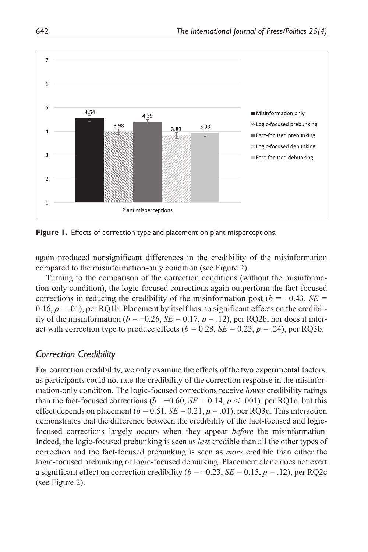

**Figure 1.** Effects of correction type and placement on plant misperceptions.

again produced nonsignificant differences in the credibility of the misinformation compared to the misinformation-only condition (see Figure 2).

Turning to the comparison of the correction conditions (without the misinformation-only condition), the logic-focused corrections again outperform the fact-focused corrections in reducing the credibility of the misinformation post ( $b = -0.43$ , *SE* = 0.16,  $p = 0.01$ , per RO1b. Placement by itself has no significant effects on the credibility of the misinformation ( $b = -0.26$ ,  $SE = 0.17$ ,  $p = .12$ ), per RQ2b, nor does it interact with correction type to produce effects  $(b = 0.28, SE = 0.23, p = .24)$ , per RO3b.

# *Correction Credibility*

For correction credibility, we only examine the effects of the two experimental factors, as participants could not rate the credibility of the correction response in the misinformation-only condition. The logic-focused corrections receive *lower* credibility ratings than the fact-focused corrections ( $b = -0.60$ ,  $SE = 0.14$ ,  $p < .001$ ), per RO1c, but this effect depends on placement  $(b = 0.51, SE = 0.21, p = .01)$ , per RO3d. This interaction demonstrates that the difference between the credibility of the fact-focused and logicfocused corrections largely occurs when they appear *before* the misinformation. Indeed, the logic-focused prebunking is seen as *less* credible than all the other types of correction and the fact-focused prebunking is seen as *more* credible than either the logic-focused prebunking or logic-focused debunking. Placement alone does not exert a significant effect on correction credibility ( $b = -0.23$ ,  $SE = 0.15$ ,  $p = 0.12$ ), per RO2c (see Figure 2).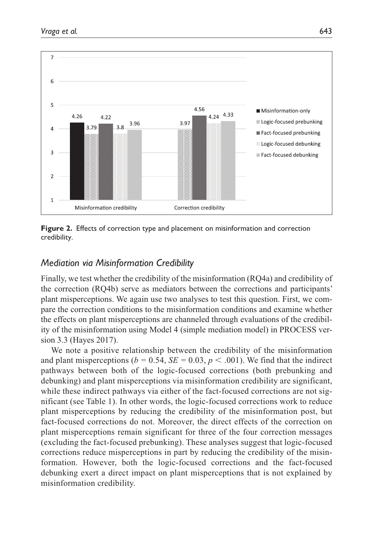

**Figure 2.** Effects of correction type and placement on misinformation and correction credibility.

# *Mediation via Misinformation Credibility*

Finally, we test whether the credibility of the misinformation (RQ4a) and credibility of the correction (RQ4b) serve as mediators between the corrections and participants' plant misperceptions. We again use two analyses to test this question. First, we compare the correction conditions to the misinformation conditions and examine whether the effects on plant misperceptions are channeled through evaluations of the credibility of the misinformation using Model 4 (simple mediation model) in PROCESS version 3.3 (Hayes 2017).

We note a positive relationship between the credibility of the misinformation and plant misperceptions ( $b = 0.54$ ,  $SE = 0.03$ ,  $p < .001$ ). We find that the indirect pathways between both of the logic-focused corrections (both prebunking and debunking) and plant misperceptions via misinformation credibility are significant, while these indirect pathways via either of the fact-focused corrections are not significant (see Table 1). In other words, the logic-focused corrections work to reduce plant misperceptions by reducing the credibility of the misinformation post, but fact-focused corrections do not. Moreover, the direct effects of the correction on plant misperceptions remain significant for three of the four correction messages (excluding the fact-focused prebunking). These analyses suggest that logic-focused corrections reduce misperceptions in part by reducing the credibility of the misinformation. However, both the logic-focused corrections and the fact-focused debunking exert a direct impact on plant misperceptions that is not explained by misinformation credibility.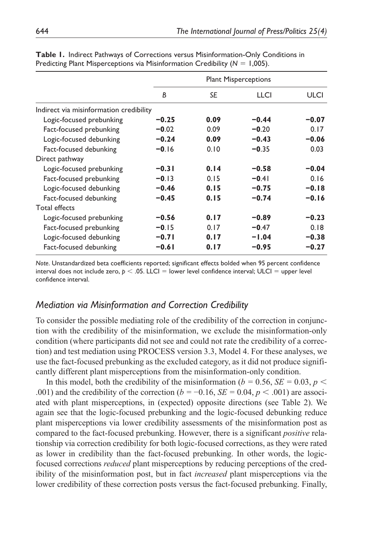|                                         | <b>Plant Misperceptions</b> |           |         |         |  |
|-----------------------------------------|-----------------------------|-----------|---------|---------|--|
|                                         | <sub>B</sub>                | <b>SE</b> | LLCI    | ULCI    |  |
| Indirect via misinformation credibility |                             |           |         |         |  |
| Logic-focused prebunking                | $-0.25$                     | 0.09      | $-0.44$ | $-0.07$ |  |
| Fact-focused prebunking                 | $-0.02$                     | 0.09      | $-0.20$ | 0.17    |  |
| Logic-focused debunking                 | $-0.24$                     | 0.09      | $-0.43$ | $-0.06$ |  |
| Fact-focused debunking                  | $-0.16$                     | 0.10      | $-0.35$ | 0.03    |  |
| Direct pathway                          |                             |           |         |         |  |
| Logic-focused prebunking                | $-0.31$                     | 0.14      | $-0.58$ | $-0.04$ |  |
| Fact-focused prebunking                 | $-0.13$                     | 0.15      | $-0.41$ | 0.16    |  |
| Logic-focused debunking                 | $-0.46$                     | 0.15      | $-0.75$ | $-0.18$ |  |
| Fact-focused debunking                  | $-0.45$                     | 0.15      | $-0.74$ | $-0.16$ |  |
| Total effects                           |                             |           |         |         |  |
| Logic-focused prebunking                | $-0.56$                     | 0.17      | $-0.89$ | $-0.23$ |  |
| Fact-focused prebunking                 | $-0.15$                     | 0.17      | $-0.47$ | 0.18    |  |
| Logic-focused debunking                 | $-0.71$                     | 0.17      | $-1.04$ | $-0.38$ |  |
| Fact-focused debunking                  | $-0.61$                     | 0.17      | $-0.95$ | $-0.27$ |  |

**Table 1.** Indirect Pathways of Corrections versus Misinformation-Only Conditions in Predicting Plant Misperceptions via Misinformation Credibility (*N* = 1,005).

*Note*. Unstandardized beta coefficients reported; significant effects bolded when 95 percent confidence interval does not include zero,  $p < .05$ . LLCI = lower level confidence interval; ULCI = upper level confidence interval.

#### *Mediation via Misinformation and Correction Credibility*

To consider the possible mediating role of the credibility of the correction in conjunction with the credibility of the misinformation, we exclude the misinformation-only condition (where participants did not see and could not rate the credibility of a correction) and test mediation using PROCESS version 3.3, Model 4. For these analyses, we use the fact-focused prebunking as the excluded category, as it did not produce significantly different plant misperceptions from the misinformation-only condition.

In this model, both the credibility of the misinformation ( $b = 0.56$ , *SE* = 0.03, *p* < .001) and the credibility of the correction ( $b = -0.16$ ,  $SE = 0.04$ ,  $p < .001$ ) are associated with plant misperceptions, in (expected) opposite directions (see Table 2). We again see that the logic-focused prebunking and the logic-focused debunking reduce plant misperceptions via lower credibility assessments of the misinformation post as compared to the fact-focused prebunking. However, there is a significant *positive* relationship via correction credibility for both logic-focused corrections, as they were rated as lower in credibility than the fact-focused prebunking. In other words, the logicfocused corrections *reduced* plant misperceptions by reducing perceptions of the credibility of the misinformation post, but in fact *increased* plant misperceptions via the lower credibility of these correction posts versus the fact-focused prebunking. Finally,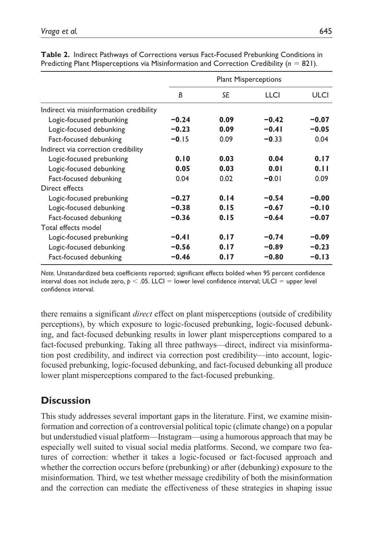|                                         |         | <b>Plant Misperceptions</b> |             |             |  |  |
|-----------------------------------------|---------|-----------------------------|-------------|-------------|--|--|
|                                         | B       | SE                          | <b>LLCI</b> | <b>ULCI</b> |  |  |
| Indirect via misinformation credibility |         |                             |             |             |  |  |
| Logic-focused prebunking                | $-0.24$ | 0.09                        | $-0.42$     | $-0.07$     |  |  |
| Logic-focused debunking                 | $-0.23$ | 0.09                        | $-0.41$     | $-0.05$     |  |  |
| Fact-focused debunking                  | $-0.15$ | 0.09                        | $-0.33$     | 0.04        |  |  |
| Indirect via correction credibility     |         |                             |             |             |  |  |
| Logic-focused prebunking                | 0.10    | 0.03                        | 0.04        | 0.17        |  |  |
| Logic-focused debunking                 | 0.05    | 0.03                        | 0.01        | 0.11        |  |  |
| Fact-focused debunking                  | 0.04    | 0.02                        | $-0.01$     | 0.09        |  |  |
| Direct effects                          |         |                             |             |             |  |  |
| Logic-focused prebunking                | $-0.27$ | 0.14                        | $-0.54$     | $-0.00$     |  |  |
| Logic-focused debunking                 | $-0.38$ | 0.15                        | $-0.67$     | $-0.10$     |  |  |
| Fact-focused debunking                  | $-0.36$ | 0.15                        | $-0.64$     | $-0.07$     |  |  |
| Total effects model                     |         |                             |             |             |  |  |
| Logic-focused prebunking                | $-0.41$ | 0.17                        | $-0.74$     | $-0.09$     |  |  |
| Logic-focused debunking                 | $-0.56$ | 0.17                        | $-0.89$     | $-0.23$     |  |  |
| Fact-focused debunking                  | $-0.46$ | 0.17                        | $-0.80$     | $-0.13$     |  |  |

**Table 2.** Indirect Pathways of Corrections versus Fact-Focused Prebunking Conditions in Predicting Plant Misperceptions via Misinformation and Correction Credibility (*n* = 821).

*Note.* Unstandardized beta coefficients reported; significant effects bolded when 95 percent confidence interval does not include zero,  $p < .05$ . LLCI = lower level confidence interval; ULCI = upper level confidence interval.

there remains a significant *direct* effect on plant misperceptions (outside of credibility perceptions), by which exposure to logic-focused prebunking, logic-focused debunking, and fact-focused debunking results in lower plant misperceptions compared to a fact-focused prebunking. Taking all three pathways—direct, indirect via misinformation post credibility, and indirect via correction post credibility—into account, logicfocused prebunking, logic-focused debunking, and fact-focused debunking all produce lower plant misperceptions compared to the fact-focused prebunking.

# **Discussion**

This study addresses several important gaps in the literature. First, we examine misinformation and correction of a controversial political topic (climate change) on a popular but understudied visual platform—Instagram—using a humorous approach that may be especially well suited to visual social media platforms. Second, we compare two features of correction: whether it takes a logic-focused or fact-focused approach and whether the correction occurs before (prebunking) or after (debunking) exposure to the misinformation. Third, we test whether message credibility of both the misinformation and the correction can mediate the effectiveness of these strategies in shaping issue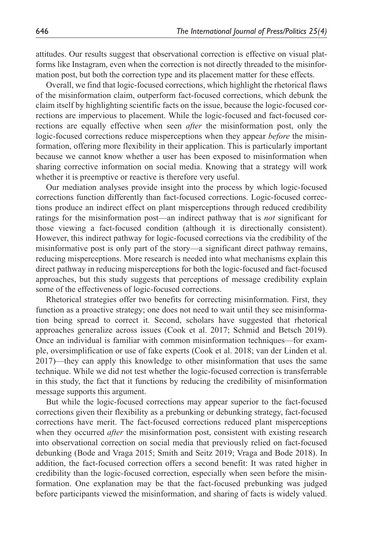attitudes. Our results suggest that observational correction is effective on visual platforms like Instagram, even when the correction is not directly threaded to the misinformation post, but both the correction type and its placement matter for these effects.

Overall, we find that logic-focused corrections, which highlight the rhetorical flaws of the misinformation claim, outperform fact-focused corrections, which debunk the claim itself by highlighting scientific facts on the issue, because the logic-focused corrections are impervious to placement. While the logic-focused and fact-focused corrections are equally effective when seen *after* the misinformation post, only the logic-focused corrections reduce misperceptions when they appear *before* the misinformation, offering more flexibility in their application. This is particularly important because we cannot know whether a user has been exposed to misinformation when sharing corrective information on social media. Knowing that a strategy will work whether it is preemptive or reactive is therefore very useful.

Our mediation analyses provide insight into the process by which logic-focused corrections function differently than fact-focused corrections. Logic-focused corrections produce an indirect effect on plant misperceptions through reduced credibility ratings for the misinformation post—an indirect pathway that is *not* significant for those viewing a fact-focused condition (although it is directionally consistent). However, this indirect pathway for logic-focused corrections via the credibility of the misinformative post is only part of the story—a significant direct pathway remains, reducing misperceptions. More research is needed into what mechanisms explain this direct pathway in reducing misperceptions for both the logic-focused and fact-focused approaches, but this study suggests that perceptions of message credibility explain some of the effectiveness of logic-focused corrections.

Rhetorical strategies offer two benefits for correcting misinformation. First, they function as a proactive strategy; one does not need to wait until they see misinformation being spread to correct it. Second, scholars have suggested that rhetorical approaches generalize across issues (Cook et al. 2017; Schmid and Betsch 2019). Once an individual is familiar with common misinformation techniques—for example, oversimplification or use of fake experts (Cook et al. 2018; van der Linden et al. 2017)—they can apply this knowledge to other misinformation that uses the same technique. While we did not test whether the logic-focused correction is transferrable in this study, the fact that it functions by reducing the credibility of misinformation message supports this argument.

But while the logic-focused corrections may appear superior to the fact-focused corrections given their flexibility as a prebunking or debunking strategy, fact-focused corrections have merit. The fact-focused corrections reduced plant misperceptions when they occurred *after* the misinformation post, consistent with existing research into observational correction on social media that previously relied on fact-focused debunking (Bode and Vraga 2015; Smith and Seitz 2019; Vraga and Bode 2018). In addition, the fact-focused correction offers a second benefit: It was rated higher in credibility than the logic-focused correction, especially when seen before the misinformation. One explanation may be that the fact-focused prebunking was judged before participants viewed the misinformation, and sharing of facts is widely valued.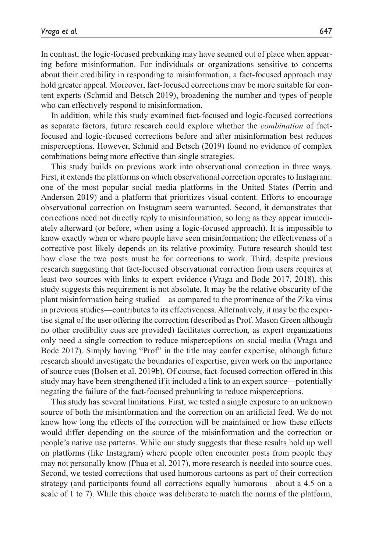In contrast, the logic-focused prebunking may have seemed out of place when appearing before misinformation. For individuals or organizations sensitive to concerns about their credibility in responding to misinformation, a fact-focused approach may hold greater appeal. Moreover, fact-focused corrections may be more suitable for content experts (Schmid and Betsch 2019), broadening the number and types of people who can effectively respond to misinformation.

In addition, while this study examined fact-focused and logic-focused corrections as separate factors, future research could explore whether the *combination* of factfocused and logic-focused corrections before and after misinformation best reduces misperceptions. However, Schmid and Betsch (2019) found no evidence of complex combinations being more effective than single strategies.

This study builds on previous work into observational correction in three ways. First, it extends the platforms on which observational correction operates to Instagram: one of the most popular social media platforms in the United States (Perrin and Anderson 2019) and a platform that prioritizes visual content. Efforts to encourage observational correction on Instagram seem warranted. Second, it demonstrates that corrections need not directly reply to misinformation, so long as they appear immediately afterward (or before, when using a logic-focused approach). It is impossible to know exactly when or where people have seen misinformation; the effectiveness of a corrective post likely depends on its relative proximity. Future research should test how close the two posts must be for corrections to work. Third, despite previous research suggesting that fact-focused observational correction from users requires at least two sources with links to expert evidence (Vraga and Bode 2017, 2018), this study suggests this requirement is not absolute. It may be the relative obscurity of the plant misinformation being studied—as compared to the prominence of the Zika virus in previous studies—contributes to its effectiveness. Alternatively, it may be the expertise signal of the user offering the correction (described as Prof. Mason Green although no other credibility cues are provided) facilitates correction, as expert organizations only need a single correction to reduce misperceptions on social media (Vraga and Bode 2017). Simply having "Prof" in the title may confer expertise, although future research should investigate the boundaries of expertise, given work on the importance of source cues (Bolsen et al. 2019b). Of course, fact-focused correction offered in this study may have been strengthened if it included a link to an expert source—potentially negating the failure of the fact-focused prebunking to reduce misperceptions.

This study has several limitations. First, we tested a single exposure to an unknown source of both the misinformation and the correction on an artificial feed. We do not know how long the effects of the correction will be maintained or how these effects would differ depending on the source of the misinformation and the correction or people's native use patterns. While our study suggests that these results hold up well on platforms (like Instagram) where people often encounter posts from people they may not personally know (Phua et al. 2017), more research is needed into source cues. Second, we tested corrections that used humorous cartoons as part of their correction strategy (and participants found all corrections equally humorous—about a 4.5 on a scale of 1 to 7). While this choice was deliberate to match the norms of the platform,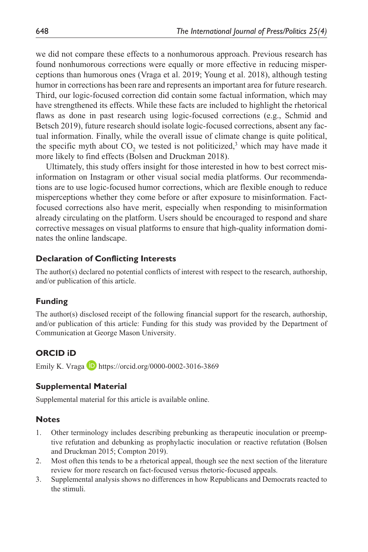we did not compare these effects to a nonhumorous approach. Previous research has found nonhumorous corrections were equally or more effective in reducing misperceptions than humorous ones (Vraga et al. 2019; Young et al. 2018), although testing humor in corrections has been rare and represents an important area for future research. Third, our logic-focused correction did contain some factual information, which may have strengthened its effects. While these facts are included to highlight the rhetorical flaws as done in past research using logic-focused corrections (e.g., Schmid and Betsch 2019), future research should isolate logic-focused corrections, absent any factual information. Finally, while the overall issue of climate change is quite political, the specific myth about  $CO_2$  we tested is not politicized,<sup>3</sup> which may have made it more likely to find effects (Bolsen and Druckman 2018).

Ultimately, this study offers insight for those interested in how to best correct misinformation on Instagram or other visual social media platforms. Our recommendations are to use logic-focused humor corrections, which are flexible enough to reduce misperceptions whether they come before or after exposure to misinformation. Factfocused corrections also have merit, especially when responding to misinformation already circulating on the platform. Users should be encouraged to respond and share corrective messages on visual platforms to ensure that high-quality information dominates the online landscape.

#### **Declaration of Conflicting Interests**

The author(s) declared no potential conflicts of interest with respect to the research, authorship, and/or publication of this article.

#### **Funding**

The author(s) disclosed receipt of the following financial support for the research, authorship, and/or publication of this article: Funding for this study was provided by the Department of Communication at George Mason University.

#### **ORCID iD**

Emily K. Vraga  $\Box$  <https://orcid.org/0000-0002-3016-3869>

#### **Supplemental Material**

Supplemental material for this article is available online.

#### **Notes**

- 1. Other terminology includes describing prebunking as therapeutic inoculation or preemptive refutation and debunking as prophylactic inoculation or reactive refutation (Bolsen and Druckman 2015; Compton 2019).
- 2. Most often this tends to be a rhetorical appeal, though see the next section of the literature review for more research on fact-focused versus rhetoric-focused appeals.
- 3. Supplemental analysis shows no differences in how Republicans and Democrats reacted to the stimuli.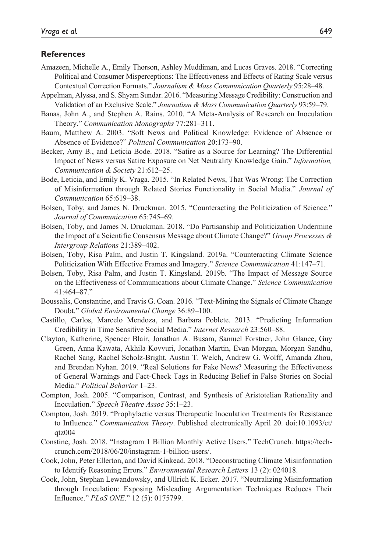#### **References**

- Amazeen, Michelle A., Emily Thorson, Ashley Muddiman, and Lucas Graves. 2018. "Correcting Political and Consumer Misperceptions: The Effectiveness and Effects of Rating Scale versus Contextual Correction Formats." *Journalism & Mass Communication Quarterly* 95:28–48.
- Appelman, Alyssa, and S. Shyam Sundar. 2016. "Measuring Message Credibility: Construction and Validation of an Exclusive Scale." *Journalism & Mass Communication Quarterly* 93:59–79.
- Banas, John A., and Stephen A. Rains. 2010. "A Meta-Analysis of Research on Inoculation Theory." *Communication Monographs* 77:281–311.
- Baum, Matthew A. 2003. "Soft News and Political Knowledge: Evidence of Absence or Absence of Evidence?" *Political Communication* 20:173–90.
- Becker, Amy B., and Leticia Bode. 2018. "Satire as a Source for Learning? The Differential Impact of News versus Satire Exposure on Net Neutrality Knowledge Gain." *Information, Communication & Society* 21:612–25.
- Bode, Leticia, and Emily K. Vraga. 2015. "In Related News, That Was Wrong: The Correction of Misinformation through Related Stories Functionality in Social Media." *Journal of Communication* 65:619–38.
- Bolsen, Toby, and James N. Druckman. 2015. "Counteracting the Politicization of Science." *Journal of Communication* 65:745–69.
- Bolsen, Toby, and James N. Druckman. 2018. "Do Partisanship and Politicization Undermine the Impact of a Scientific Consensus Message about Climate Change?" *Group Processes & Intergroup Relations* 21:389–402.
- Bolsen, Toby, Risa Palm, and Justin T. Kingsland. 2019a. "Counteracting Climate Science Politicization With Effective Frames and Imagery." *Science Communication* 41:147–71.
- Bolsen, Toby, Risa Palm, and Justin T. Kingsland. 2019b. "The Impact of Message Source on the Effectiveness of Communications about Climate Change." *Science Communication* 41:464–87."
- Boussalis, Constantine, and Travis G. Coan. 2016. "Text-Mining the Signals of Climate Change Doubt." *Global Environmental Change* 36:89–100.
- Castillo, Carlos, Marcelo Mendoza, and Barbara Poblete. 2013. "Predicting Information Credibility in Time Sensitive Social Media." *Internet Research* 23:560–88.
- Clayton, Katherine, Spencer Blair, Jonathan A. Busam, Samuel Forstner, John Glance, Guy Green, Anna Kawata, Akhila Kovvuri, Jonathan Martin, Evan Morgan, Morgan Sandhu, Rachel Sang, Rachel Scholz-Bright, Austin T. Welch, Andrew G. Wolff, Amanda Zhou, and Brendan Nyhan. 2019. "Real Solutions for Fake News? Measuring the Effectiveness of General Warnings and Fact-Check Tags in Reducing Belief in False Stories on Social Media." *Political Behavior* 1–23.
- Compton, Josh. 2005. "Comparison, Contrast, and Synthesis of Aristotelian Rationality and Inoculation." *Speech Theatre Assoc* 35:1–23.
- Compton, Josh. 2019. "Prophylactic versus Therapeutic Inoculation Treatments for Resistance to Influence." *Communication Theory*. Published electronically April 20. doi:10.1093/ct/ qtz004
- Constine, Josh. 2018. "Instagram 1 Billion Monthly Active Users." TechCrunch. [https://tech](https://techcrunch.com/2018/06/20/instagram-1-billion-users/)[crunch.com/2018/06/20/instagram-1-billion-users/.](https://techcrunch.com/2018/06/20/instagram-1-billion-users/)
- Cook, John, Peter Ellerton, and David Kinkead. 2018. "Deconstructing Climate Misinformation to Identify Reasoning Errors." *Environmental Research Letters* 13 (2): 024018.
- Cook, John, Stephan Lewandowsky, and Ullrich K. Ecker. 2017. "Neutralizing Misinformation through Inoculation: Exposing Misleading Argumentation Techniques Reduces Their Influence." *PLoS ONE*." 12 (5): 0175799.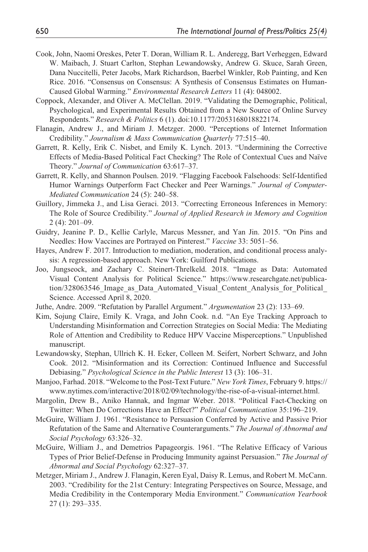- Cook, John, Naomi Oreskes, Peter T. Doran, William R. L. Anderegg, Bart Verheggen, Edward W. Maibach, J. Stuart Carlton, Stephan Lewandowsky, Andrew G. Skuce, Sarah Green, Dana Nuccitelli, Peter Jacobs, Mark Richardson, Baerbel Winkler, Rob Painting, and Ken Rice. 2016. "Consensus on Consensus: A Synthesis of Consensus Estimates on Human-Caused Global Warming." *Environmental Research Letters* 11 (4): 048002.
- Coppock, Alexander, and Oliver A. McClellan. 2019. "Validating the Demographic, Political, Psychological, and Experimental Results Obtained from a New Source of Online Survey Respondents." *Research & Politics* 6 (1). doi:10.1177/2053168018822174.
- Flanagin, Andrew J., and Miriam J. Metzger. 2000. "Perceptions of Internet Information Credibility." *Journalism & Mass Communication Quarterly* 77:515–40.
- Garrett, R. Kelly, Erik C. Nisbet, and Emily K. Lynch. 2013. "Undermining the Corrective Effects of Media-Based Political Fact Checking? The Role of Contextual Cues and Naïve Theory." *Journal of Communication* 63:617–37.
- Garrett, R. Kelly, and Shannon Poulsen. 2019. "Flagging Facebook Falsehoods: Self-Identified Humor Warnings Outperform Fact Checker and Peer Warnings." *Journal of Computer-Mediated Communication* 24 (5): 240–58.
- Guillory, Jimmeka J., and Lisa Geraci. 2013. "Correcting Erroneous Inferences in Memory: The Role of Source Credibility." *Journal of Applied Research in Memory and Cognition* 2 (4): 201–09.
- Guidry, Jeanine P. D., Kellie Carlyle, Marcus Messner, and Yan Jin. 2015. "On Pins and Needles: How Vaccines are Portrayed on Pinterest." *Vaccine* 33: 5051–56.
- Hayes, Andrew F. 2017. Introduction to mediation, moderation, and conditional process analysis: A regression-based approach. New York: Guilford Publications.
- Joo, Jungseock, and Zachary C. Steinert-Threlkeld. 2018. "Image as Data: Automated Visual Content Analysis for Political Science." [https://www.researchgate.net/publica](https://www.researchgate.net/publication/328063546_Image_as_Data_Automated_Visual_Content_Analysis_for_Political_Science)tion/328063546 Image as Data Automated Visual Content Analysis for Political [Science.](https://www.researchgate.net/publication/328063546_Image_as_Data_Automated_Visual_Content_Analysis_for_Political_Science) Accessed April 8, 2020.
- Juthe, Andre. 2009. "Refutation by Parallel Argument." *Argumentation* 23 (2): 133–69.
- Kim, Sojung Claire, Emily K. Vraga, and John Cook. n.d. "An Eye Tracking Approach to Understanding Misinformation and Correction Strategies on Social Media: The Mediating Role of Attention and Credibility to Reduce HPV Vaccine Misperceptions." Unpublished manuscript.
- Lewandowsky, Stephan, Ullrich K. H. Ecker, Colleen M. Seifert, Norbert Schwarz, and John Cook. 2012. "Misinformation and its Correction: Continued Influence and Successful Debiasing." *Psychological Science in the Public Interest* 13 (3): 106–31.
- Manjoo, Farhad. 2018. "Welcome to the Post-Text Future." *New York Times*, February 9. [https://](https://www.nytimes.com/interactive/2018/02/09/technology/the-rise-of-a-visual-internet.html) [www.nytimes.com/interactive/2018/02/09/technology/the-rise-of-a-visual-internet.html](https://www.nytimes.com/interactive/2018/02/09/technology/the-rise-of-a-visual-internet.html).
- Margolin, Drew B., Aniko Hannak, and Ingmar Weber. 2018. "Political Fact-Checking on Twitter: When Do Corrections Have an Effect?" *Political Communication* 35:196–219.
- McGuire, William J. 1961. "Resistance to Persuasion Conferred by Active and Passive Prior Refutation of the Same and Alternative Counterarguments." *The Journal of Abnormal and Social Psychology* 63:326–32.
- McGuire, William J., and Demetrios Papageorgis. 1961. "The Relative Efficacy of Various Types of Prior Belief-Defense in Producing Immunity against Persuasion." *The Journal of Abnormal and Social Psychology* 62:327–37.
- Metzger, Miriam J., Andrew J. Flanagin, Keren Eyal, Daisy R. Lemus, and Robert M. McCann. 2003. "Credibility for the 21st Century: Integrating Perspectives on Source, Message, and Media Credibility in the Contemporary Media Environment." *Communication Yearbook* 27 (1): 293–335.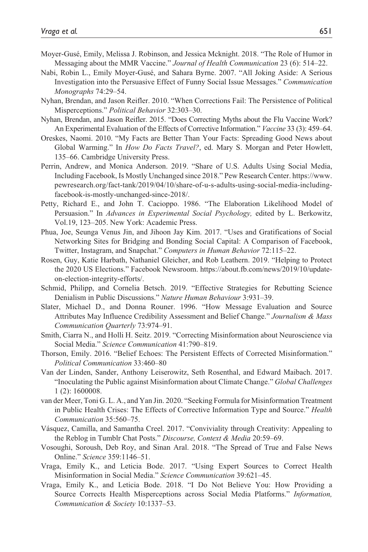- Moyer-Gusé, Emily, Melissa J. Robinson, and Jessica Mcknight. 2018. "The Role of Humor in Messaging about the MMR Vaccine." *Journal of Health Communication* 23 (6): 514–22.
- Nabi, Robin L., Emily Moyer-Gusé, and Sahara Byrne. 2007. "All Joking Aside: A Serious Investigation into the Persuasive Effect of Funny Social Issue Messages." *Communication Monographs* 74:29–54.
- Nyhan, Brendan, and Jason Reifler. 2010. "When Corrections Fail: The Persistence of Political Misperceptions." *Political Behavior* 32:303–30.
- Nyhan, Brendan, and Jason Reifler. 2015. "Does Correcting Myths about the Flu Vaccine Work? An Experimental Evaluation of the Effects of Corrective Information." *Vaccine* 33 (3): 459–64.
- Oreskes, Naomi. 2010. "My Facts are Better Than Your Facts: Spreading Good News about Global Warming." In *How Do Facts Travel?*, ed. Mary S. Morgan and Peter Howlett, 135–66. Cambridge University Press.
- Perrin, Andrew, and Monica Anderson. 2019. "Share of U.S. Adults Using Social Media, Including Facebook, Is Mostly Unchanged since 2018." Pew Research Center. [https://www.](https://www.pewresearch.org/fact-tank/2019/04/10/share-of-u-s-adults-using-social-media-including-facebook-is-mostly-unchanged-since-2018/) [pewresearch.org/fact-tank/2019/04/10/share-of-u-s-adults-using-social-media-including](https://www.pewresearch.org/fact-tank/2019/04/10/share-of-u-s-adults-using-social-media-including-facebook-is-mostly-unchanged-since-2018/)[facebook-is-mostly-unchanged-since-2018/](https://www.pewresearch.org/fact-tank/2019/04/10/share-of-u-s-adults-using-social-media-including-facebook-is-mostly-unchanged-since-2018/).
- Petty, Richard E., and John T. Cacioppo. 1986. "The Elaboration Likelihood Model of Persuasion." In *Advances in Experimental Social Psychology,* edited by L. Berkowitz, Vol.19, 123–205. New York: Academic Press.
- Phua, Joe, Seunga Venus Jin, and Jihoon Jay Kim. 2017. "Uses and Gratifications of Social Networking Sites for Bridging and Bonding Social Capital: A Comparison of Facebook, Twitter, Instagram, and Snapchat." *Computers in Human Behavior* 72:115–22.
- Rosen, Guy, Katie Harbath, Nathaniel Gleicher, and Rob Leathern. 2019. "Helping to Protect the 2020 US Elections." Facebook Newsroom. [https://about.fb.com/news/2019/10/update](https://about.fb.com/news/2019/10/update-on-election-integrity-efforts/)[on-election-integrity-efforts/.](https://about.fb.com/news/2019/10/update-on-election-integrity-efforts/)
- Schmid, Philipp, and Cornelia Betsch. 2019. "Effective Strategies for Rebutting Science Denialism in Public Discussions." *Nature Human Behaviour* 3:931–39.
- Slater, Michael D., and Donna Rouner. 1996. "How Message Evaluation and Source Attributes May Influence Credibility Assessment and Belief Change." *Journalism & Mass Communication Quarterly* 73:974–91.
- Smith, Ciarra N., and Holli H. Seitz. 2019. "Correcting Misinformation about Neuroscience via Social Media." *Science Communication* 41:790–819.
- Thorson, Emily. 2016. "Belief Echoes: The Persistent Effects of Corrected Misinformation." *Political Communication* 33:460–80
- Van der Linden, Sander, Anthony Leiserowitz, Seth Rosenthal, and Edward Maibach. 2017. "Inoculating the Public against Misinformation about Climate Change." *Global Challenges* 1 (2): 1600008.
- van der Meer, Toni G. L. A., and Yan Jin. 2020. "Seeking Formula for Misinformation Treatment in Public Health Crises: The Effects of Corrective Information Type and Source." *Health Communication* 35:560–75.
- Vásquez, Camilla, and Samantha Creel. 2017. "Conviviality through Creativity: Appealing to the Reblog in Tumblr Chat Posts." *Discourse, Context & Media* 20:59–69.
- Vosoughi, Soroush, Deb Roy, and Sinan Aral. 2018. "The Spread of True and False News Online." *Science* 359:1146–51.
- Vraga, Emily K., and Leticia Bode. 2017. "Using Expert Sources to Correct Health Misinformation in Social Media." *Science Communication* 39:621–45.
- Vraga, Emily K., and Leticia Bode. 2018. "I Do Not Believe You: How Providing a Source Corrects Health Misperceptions across Social Media Platforms." *Information, Communication & Society* 10:1337–53.